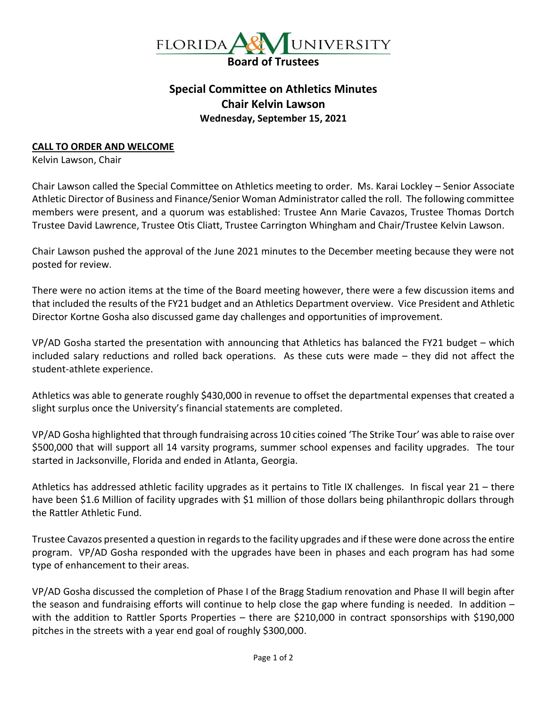

## **Special Committee on Athletics Minutes Chair Kelvin Lawson Wednesday, September 15, 2021**

## **CALL TO ORDER AND WELCOME**

Kelvin Lawson, Chair

Chair Lawson called the Special Committee on Athletics meeting to order. Ms. Karai Lockley – Senior Associate Athletic Director of Business and Finance/Senior Woman Administrator called the roll. The following committee members were present, and a quorum was established: Trustee Ann Marie Cavazos, Trustee Thomas Dortch Trustee David Lawrence, Trustee Otis Cliatt, Trustee Carrington Whingham and Chair/Trustee Kelvin Lawson.

Chair Lawson pushed the approval of the June 2021 minutes to the December meeting because they were not posted for review.

There were no action items at the time of the Board meeting however, there were a few discussion items and that included the results of the FY21 budget and an Athletics Department overview. Vice President and Athletic Director Kortne Gosha also discussed game day challenges and opportunities of improvement.

VP/AD Gosha started the presentation with announcing that Athletics has balanced the FY21 budget – which included salary reductions and rolled back operations. As these cuts were made – they did not affect the student-athlete experience.

Athletics was able to generate roughly \$430,000 in revenue to offset the departmental expenses that created a slight surplus once the University's financial statements are completed.

VP/AD Gosha highlighted that through fundraising across 10 cities coined 'The Strike Tour' was able to raise over \$500,000 that will support all 14 varsity programs, summer school expenses and facility upgrades. The tour started in Jacksonville, Florida and ended in Atlanta, Georgia.

Athletics has addressed athletic facility upgrades as it pertains to Title IX challenges. In fiscal year 21 – there have been \$1.6 Million of facility upgrades with \$1 million of those dollars being philanthropic dollars through the Rattler Athletic Fund.

Trustee Cavazos presented a question in regards to the facility upgrades and if these were done across the entire program. VP/AD Gosha responded with the upgrades have been in phases and each program has had some type of enhancement to their areas.

VP/AD Gosha discussed the completion of Phase I of the Bragg Stadium renovation and Phase II will begin after the season and fundraising efforts will continue to help close the gap where funding is needed. In addition – with the addition to Rattler Sports Properties – there are \$210,000 in contract sponsorships with \$190,000 pitches in the streets with a year end goal of roughly \$300,000.